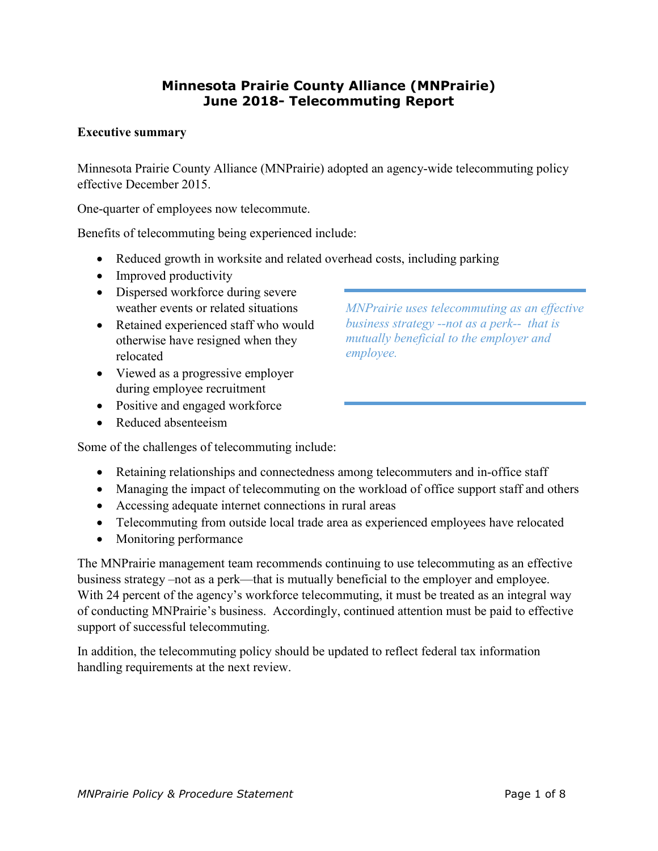#### **Minnesota Prairie County Alliance (MNPrairie) June 2018- Telecommuting Report**

#### **Executive summary**

Minnesota Prairie County Alliance (MNPrairie) adopted an agency-wide telecommuting policy effective December 2015.

One-quarter of employees now telecommute.

Benefits of telecommuting being experienced include:

- Reduced growth in worksite and related overhead costs, including parking
- Improved productivity
- Dispersed workforce during severe weather events or related situations
- Retained experienced staff who would otherwise have resigned when they relocated
- Viewed as a progressive employer during employee recruitment
- Positive and engaged workforce
- Reduced absenteeism

Some of the challenges of telecommuting include:

- Retaining relationships and connectedness among telecommuters and in-office staff
- Managing the impact of telecommuting on the workload of office support staff and others
- Accessing adequate internet connections in rural areas
- Telecommuting from outside local trade area as experienced employees have relocated
- Monitoring performance

The MNPrairie management team recommends continuing to use telecommuting as an effective business strategy –not as a perk—that is mutually beneficial to the employer and employee. With 24 percent of the agency's workforce telecommuting, it must be treated as an integral way of conducting MNPrairie's business. Accordingly, continued attention must be paid to effective support of successful telecommuting.

In addition, the telecommuting policy should be updated to reflect federal tax information handling requirements at the next review.

*MNPrairie uses telecommuting as an effective business strategy --not as a perk-- that is mutually beneficial to the employer and employee.*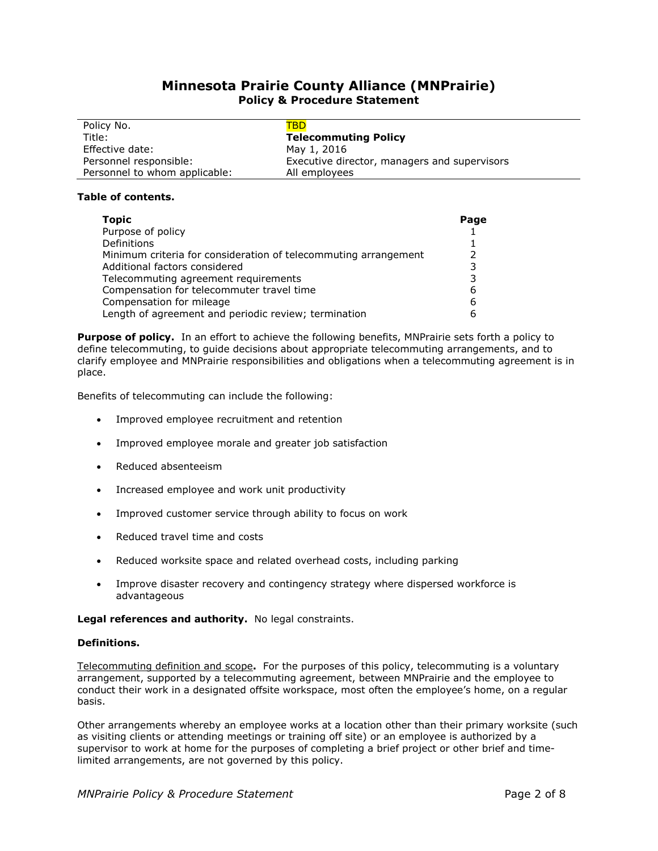#### **Minnesota Prairie County Alliance (MNPrairie) Policy & Procedure Statement**

| Policy No.                    | TBD                                          |
|-------------------------------|----------------------------------------------|
| Title:                        | <b>Telecommuting Policy</b>                  |
| Effective date:               | May 1, 2016                                  |
| Personnel responsible:        | Executive director, managers and supervisors |
| Personnel to whom applicable: | All employees                                |

#### **Table of contents.**

| <b>Topic</b>                                                    | Page |
|-----------------------------------------------------------------|------|
| Purpose of policy                                               |      |
| Definitions                                                     |      |
| Minimum criteria for consideration of telecommuting arrangement | 2    |
| Additional factors considered                                   | 3    |
| Telecommuting agreement requirements                            |      |
| Compensation for telecommuter travel time                       |      |
| Compensation for mileage                                        | 6    |
| Length of agreement and periodic review; termination            |      |

**Purpose of policy.** In an effort to achieve the following benefits, MNPrairie sets forth a policy to define telecommuting, to guide decisions about appropriate telecommuting arrangements, and to clarify employee and MNPrairie responsibilities and obligations when a telecommuting agreement is in place.

Benefits of telecommuting can include the following:

- Improved employee recruitment and retention
- Improved employee morale and greater job satisfaction
- Reduced absenteeism
- Increased employee and work unit productivity
- Improved customer service through ability to focus on work
- Reduced travel time and costs
- Reduced worksite space and related overhead costs, including parking
- Improve disaster recovery and contingency strategy where dispersed workforce is advantageous

**Legal references and authority.** No legal constraints.

#### **Definitions.**

Telecommuting definition and scope**.** For the purposes of this policy, telecommuting is a voluntary arrangement, supported by a telecommuting agreement, between MNPrairie and the employee to conduct their work in a designated offsite workspace, most often the employee's home, on a regular basis.

Other arrangements whereby an employee works at a location other than their primary worksite (such as visiting clients or attending meetings or training off site) or an employee is authorized by a supervisor to work at home for the purposes of completing a brief project or other brief and timelimited arrangements, are not governed by this policy.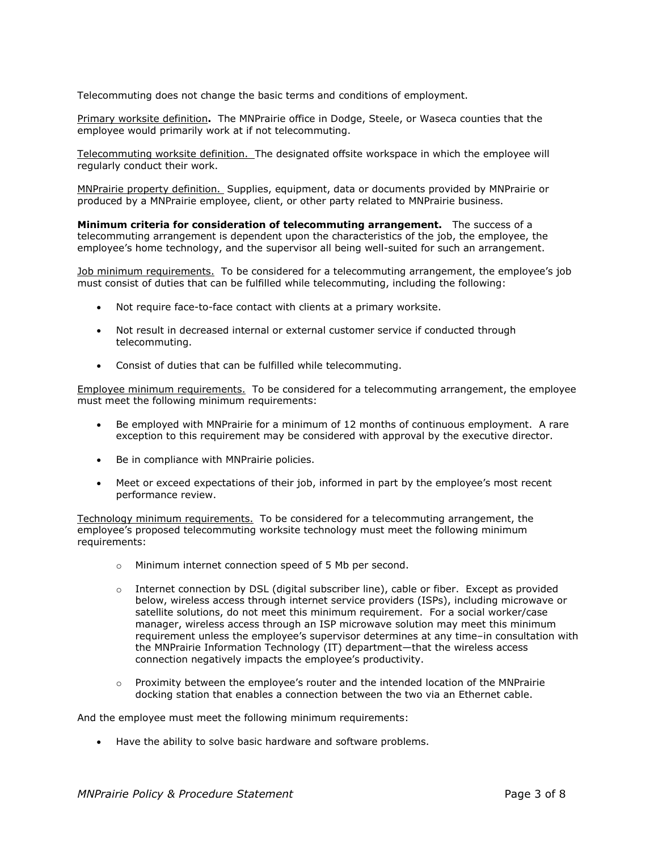Telecommuting does not change the basic terms and conditions of employment.

Primary worksite definition**.** The MNPrairie office in Dodge, Steele, or Waseca counties that the employee would primarily work at if not telecommuting.

Telecommuting worksite definition. The designated offsite workspace in which the employee will regularly conduct their work.

MNPrairie property definition. Supplies, equipment, data or documents provided by MNPrairie or produced by a MNPrairie employee, client, or other party related to MNPrairie business.

**Minimum criteria for consideration of telecommuting arrangement.** The success of a telecommuting arrangement is dependent upon the characteristics of the job, the employee, the employee's home technology, and the supervisor all being well-suited for such an arrangement.

Job minimum requirements. To be considered for a telecommuting arrangement, the employee's job must consist of duties that can be fulfilled while telecommuting, including the following:

- Not require face-to-face contact with clients at a primary worksite.
- Not result in decreased internal or external customer service if conducted through telecommuting.
- Consist of duties that can be fulfilled while telecommuting.

Employee minimum requirements. To be considered for a telecommuting arrangement, the employee must meet the following minimum requirements:

- Be employed with MNPrairie for a minimum of 12 months of continuous employment. A rare exception to this requirement may be considered with approval by the executive director.
- Be in compliance with MNPrairie policies.
- Meet or exceed expectations of their job, informed in part by the employee's most recent performance review.

Technology minimum requirements. To be considered for a telecommuting arrangement, the employee's proposed telecommuting worksite technology must meet the following minimum requirements:

- o Minimum internet connection speed of 5 Mb per second.
- o Internet connection by DSL (digital subscriber line), cable or fiber. Except as provided below, wireless access through internet service providers (ISPs), including microwave or satellite solutions, do not meet this minimum requirement. For a social worker/case manager, wireless access through an ISP microwave solution may meet this minimum requirement unless the employee's supervisor determines at any time–in consultation with the MNPrairie Information Technology (IT) department—that the wireless access connection negatively impacts the employee's productivity.
- $\circ$  Proximity between the employee's router and the intended location of the MNPrairie docking station that enables a connection between the two via an Ethernet cable.

And the employee must meet the following minimum requirements:

• Have the ability to solve basic hardware and software problems.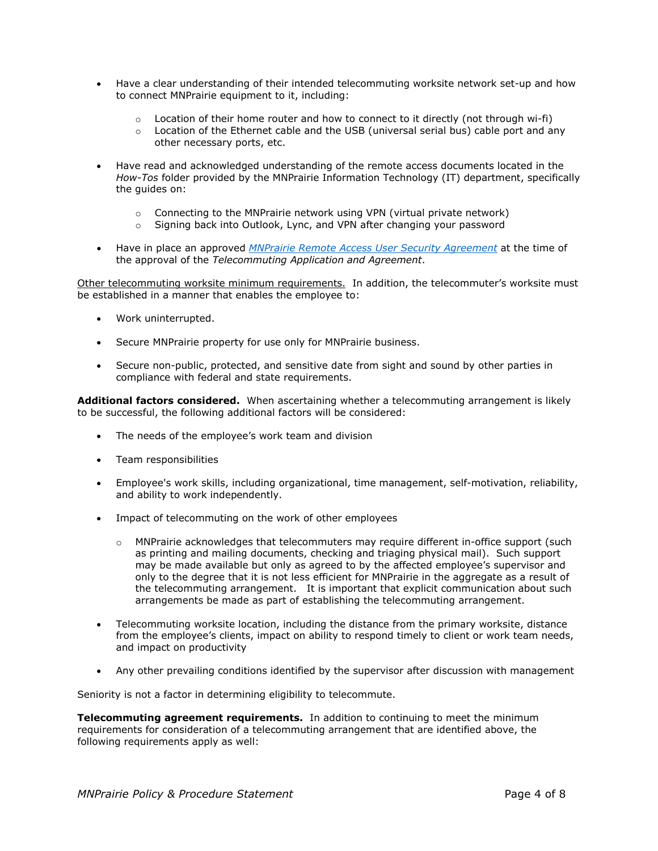- Have a clear understanding of their intended telecommuting worksite network set-up and how to connect MNPrairie equipment to it, including:
	- $\circ$  Location of their home router and how to connect to it directly (not through wi-fi)<br> $\circ$  Location of the Ethernet cable and the USB (universal serial bus) cable port and an
	- Location of the Ethernet cable and the USB (universal serial bus) cable port and any other necessary ports, etc.
- Have read and acknowledged understanding of the remote access documents located in the *How-Tos* folder provided by the MNPrairie Information Technology (IT) department, specifically the guides on:
	- $\circ$  Connecting to the MNPrairie network using VPN (virtual private network)<br> $\circ$  Signing back into Outlook, I vnc. and VPN after changing your password
	- Signing back into Outlook, Lync, and VPN after changing your password
- Have in place an approved *[MNPrairie Remote Access User Security Agreement](http://sda.caseworksmn.org/sites/MNPrairie/MNPrairieForms/Employee%20Forms%2015001600/MNP%201510%20Remote%20Access%20Policy%20-%20Request%20Form%20MNPrairie.doc)* at the time of the approval of the *Telecommuting Application and Agreement*.

Other telecommuting worksite minimum requirements. In addition, the telecommuter's worksite must be established in a manner that enables the employee to:

- Work uninterrupted.
- Secure MNPrairie property for use only for MNPrairie business.
- Secure non-public, protected, and sensitive date from sight and sound by other parties in compliance with federal and state requirements.

**Additional factors considered.** When ascertaining whether a telecommuting arrangement is likely to be successful, the following additional factors will be considered:

- The needs of the employee's work team and division
- Team responsibilities
- Employee's work skills, including organizational, time management, self-motivation, reliability, and ability to work independently.
- Impact of telecommuting on the work of other employees
	- $\circ$  MNP rairie acknowledges that telecommuters may require different in-office support (such as printing and mailing documents, checking and triaging physical mail). Such support may be made available but only as agreed to by the affected employee's supervisor and only to the degree that it is not less efficient for MNPrairie in the aggregate as a result of the telecommuting arrangement. It is important that explicit communication about such arrangements be made as part of establishing the telecommuting arrangement.
- Telecommuting worksite location, including the distance from the primary worksite, distance from the employee's clients, impact on ability to respond timely to client or work team needs, and impact on productivity
- Any other prevailing conditions identified by the supervisor after discussion with management

Seniority is not a factor in determining eligibility to telecommute.

**Telecommuting agreement requirements.** In addition to continuing to meet the minimum requirements for consideration of a telecommuting arrangement that are identified above, the following requirements apply as well: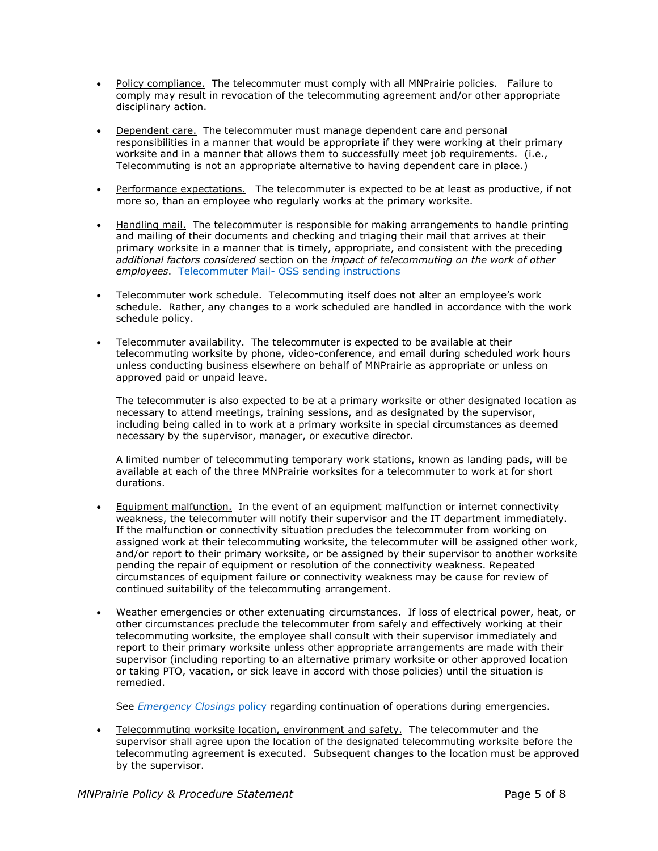- Policy compliance. The telecommuter must comply with all MNPrairie policies. Failure to comply may result in revocation of the telecommuting agreement and/or other appropriate disciplinary action.
- Dependent care. The telecommuter must manage dependent care and personal responsibilities in a manner that would be appropriate if they were working at their primary worksite and in a manner that allows them to successfully meet job requirements. (i.e., Telecommuting is not an appropriate alternative to having dependent care in place.)
- Performance expectations. The telecommuter is expected to be at least as productive, if not more so, than an employee who regularly works at the primary worksite.
- Handling mail. The telecommuter is responsible for making arrangements to handle printing and mailing of their documents and checking and triaging their mail that arrives at their primary worksite in a manner that is timely, appropriate, and consistent with the preceding *additional factors considered* section on the *impact of telecommuting on the work of other employees*. Telecommuter Mail- [OSS sending instructions](http://sda.caseworksmn.org/sites/MNPrairie/HumanResources/Other/Telecommuter%20Mail%20for%20OSS%20to%20Send.docx)
- Telecommuter work schedule. Telecommuting itself does not alter an employee's work schedule. Rather, any changes to a work scheduled are handled in accordance with the work schedule policy.
- Telecommuter availability. The telecommuter is expected to be available at their telecommuting worksite by phone, video-conference, and email during scheduled work hours unless conducting business elsewhere on behalf of MNPrairie as appropriate or unless on approved paid or unpaid leave.

The telecommuter is also expected to be at a primary worksite or other designated location as necessary to attend meetings, training sessions, and as designated by the supervisor, including being called in to work at a primary worksite in special circumstances as deemed necessary by the supervisor, manager, or executive director.

A limited number of telecommuting temporary work stations, known as landing pads, will be available at each of the three MNPrairie worksites for a telecommuter to work at for short durations.

- Equipment malfunction. In the event of an equipment malfunction or internet connectivity weakness, the telecommuter will notify their supervisor and the IT department immediately. If the malfunction or connectivity situation precludes the telecommuter from working on assigned work at their telecommuting worksite, the telecommuter will be assigned other work, and/or report to their primary worksite, or be assigned by their supervisor to another worksite pending the repair of equipment or resolution of the connectivity weakness. Repeated circumstances of equipment failure or connectivity weakness may be cause for review of continued suitability of the telecommuting arrangement.
- Weather emergencies or other extenuating circumstances. If loss of electrical power, heat, or other circumstances preclude the telecommuter from safely and effectively working at their telecommuting worksite, the employee shall consult with their supervisor immediately and report to their primary worksite unless other appropriate arrangements are made with their supervisor (including reporting to an alternative primary worksite or other approved location or taking PTO, vacation, or sick leave in accord with those policies) until the situation is remedied.

See *[Emergency Closings](http://sda.caseworksmn.org/sites/MNPrairie/PoliciesProcedures/MNPraire%20Administrative%20Policies/Emergency%20closings%20policy%20adopted%20effective%202015%2009-01.docx)* policy regarding continuation of operations during emergencies.

• Telecommuting worksite location, environment and safety. The telecommuter and the supervisor shall agree upon the location of the designated telecommuting worksite before the telecommuting agreement is executed. Subsequent changes to the location must be approved by the supervisor.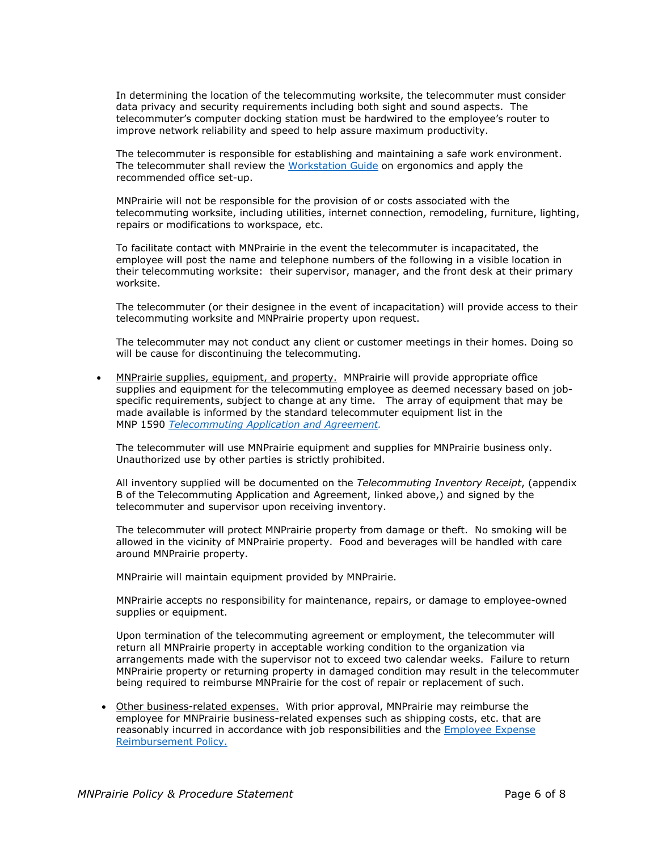In determining the location of the telecommuting worksite, the telecommuter must consider data privacy and security requirements including both sight and sound aspects. The telecommuter's computer docking station must be hardwired to the employee's router to improve network reliability and speed to help assure maximum productivity.

The telecommuter is responsible for establishing and maintaining a safe work environment. The telecommuter shall review the [Workstation Guide](http://sda.caseworksmn.org/sites/MNPrairie/HumanResources/Other/WorkstationGuide_Trifold.indd%208.5x11_print.pdf) on ergonomics and apply the recommended office set-up.

MNPrairie will not be responsible for the provision of or costs associated with the telecommuting worksite, including utilities, internet connection, remodeling, furniture, lighting, repairs or modifications to workspace, etc.

To facilitate contact with MNPrairie in the event the telecommuter is incapacitated, the employee will post the name and telephone numbers of the following in a visible location in their telecommuting worksite: their supervisor, manager, and the front desk at their primary worksite.

The telecommuter (or their designee in the event of incapacitation) will provide access to their telecommuting worksite and MNPrairie property upon request.

The telecommuter may not conduct any client or customer meetings in their homes. Doing so will be cause for discontinuing the telecommuting.

• MNPrairie supplies, equipment, and property. MNPrairie will provide appropriate office supplies and equipment for the telecommuting employee as deemed necessary based on jobspecific requirements, subject to change at any time. The array of equipment that may be made available is informed by the standard telecommuter equipment list in the MNP 1590 *[Telecommuting Application and Agreement.](http://sda.caseworksmn.org/sites/MNPrairie/MNPrairieForms/Employee%20Forms%2015001600/MNP%201590%20Telecommuting%20application%20and%20agreement%20with%20appendices.docx)*

The telecommuter will use MNPrairie equipment and supplies for MNPrairie business only. Unauthorized use by other parties is strictly prohibited.

All inventory supplied will be documented on the *Telecommuting Inventory Receipt*, (appendix B of the Telecommuting Application and Agreement, linked above,) and signed by the telecommuter and supervisor upon receiving inventory.

The telecommuter will protect MNPrairie property from damage or theft. No smoking will be allowed in the vicinity of MNPrairie property. Food and beverages will be handled with care around MNPrairie property.

MNPrairie will maintain equipment provided by MNPrairie.

MNPrairie accepts no responsibility for maintenance, repairs, or damage to employee-owned supplies or equipment.

Upon termination of the telecommuting agreement or employment, the telecommuter will return all MNPrairie property in acceptable working condition to the organization via arrangements made with the supervisor not to exceed two calendar weeks. Failure to return MNPrairie property or returning property in damaged condition may result in the telecommuter being required to reimburse MNPrairie for the cost of repair or replacement of such.

• Other business-related expenses. With prior approval, MNPrairie may reimburse the employee for MNPrairie business-related expenses such as shipping costs, etc. that are reasonably incurred in accordance with job responsibilities and the [Employee Expense](http://sda.caseworksmn.org/sites/MNPrairie/PoliciesProcedures/Human%20Resource%20Policies/Employee%20Expense%20Reimbursement%20Policy%20Adopted%20Effective%2005-01-2015.doc)  [Reimbursement Policy.](http://sda.caseworksmn.org/sites/MNPrairie/PoliciesProcedures/Human%20Resource%20Policies/Employee%20Expense%20Reimbursement%20Policy%20Adopted%20Effective%2005-01-2015.doc)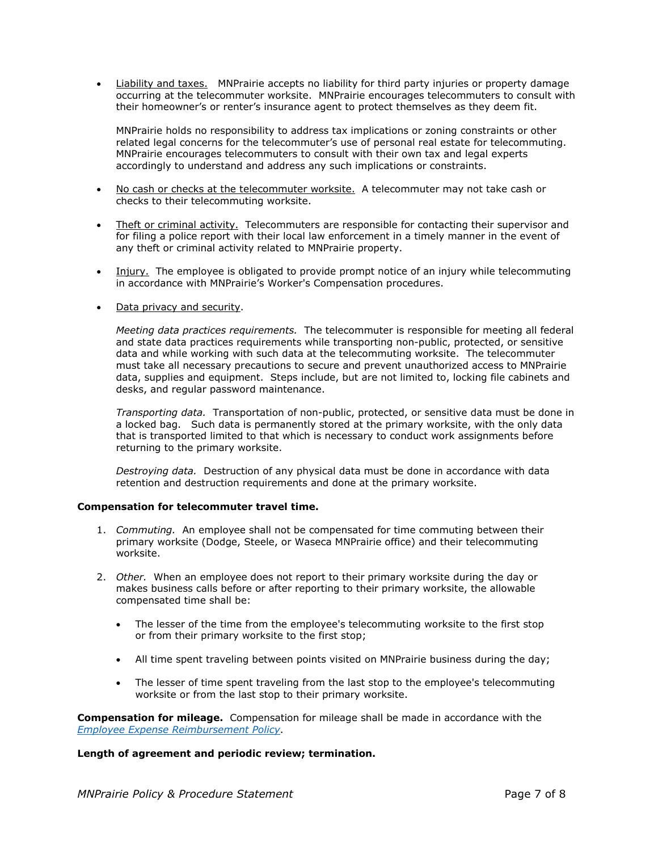**Liability and taxes.** MNPrairie accepts no liability for third party injuries or property damage occurring at the telecommuter worksite. MNPrairie encourages telecommuters to consult with their homeowner's or renter's insurance agent to protect themselves as they deem fit.

MNPrairie holds no responsibility to address tax implications or zoning constraints or other related legal concerns for the telecommuter's use of personal real estate for telecommuting. MNPrairie encourages telecommuters to consult with their own tax and legal experts accordingly to understand and address any such implications or constraints.

- No cash or checks at the telecommuter worksite. A telecommuter may not take cash or checks to their telecommuting worksite.
- Theft or criminal activity. Telecommuters are responsible for contacting their supervisor and for filing a police report with their local law enforcement in a timely manner in the event of any theft or criminal activity related to MNPrairie property.
- Injury. The employee is obligated to provide prompt notice of an injury while telecommuting in accordance with MNPrairie's Worker's Compensation procedures.
- Data privacy and security.

*Meeting data practices requirements.* The telecommuter is responsible for meeting all federal and state data practices requirements while transporting non-public, protected, or sensitive data and while working with such data at the telecommuting worksite. The telecommuter must take all necessary precautions to secure and prevent unauthorized access to MNPrairie data, supplies and equipment. Steps include, but are not limited to, locking file cabinets and desks, and regular password maintenance.

*Transporting data.* Transportation of non-public, protected, or sensitive data must be done in a locked bag. Such data is permanently stored at the primary worksite, with the only data that is transported limited to that which is necessary to conduct work assignments before returning to the primary worksite.

*Destroying data.* Destruction of any physical data must be done in accordance with data retention and destruction requirements and done at the primary worksite.

#### **Compensation for telecommuter travel time.**

- 1. *Commuting.* An employee shall not be compensated for time commuting between their primary worksite (Dodge, Steele, or Waseca MNPrairie office) and their telecommuting worksite.
- 2. *Other.* When an employee does not report to their primary worksite during the day or makes business calls before or after reporting to their primary worksite, the allowable compensated time shall be:
	- The lesser of the time from the employee's telecommuting worksite to the first stop or from their primary worksite to the first stop;
	- All time spent traveling between points visited on MNPrairie business during the day;
	- The lesser of time spent traveling from the last stop to the employee's telecommuting worksite or from the last stop to their primary worksite.

**Compensation for mileage.** Compensation for mileage shall be made in accordance with the *[Employee Expense Reimbursement Policy](http://sda.caseworksmn.org/sites/MNPrairie/PoliciesProcedures/Human%20Resource%20Policies/Employee%20Expense%20Reimbursement%20Policy%20Adopted%20Effective%2005-01-2015.doc)*.

#### **Length of agreement and periodic review; termination.**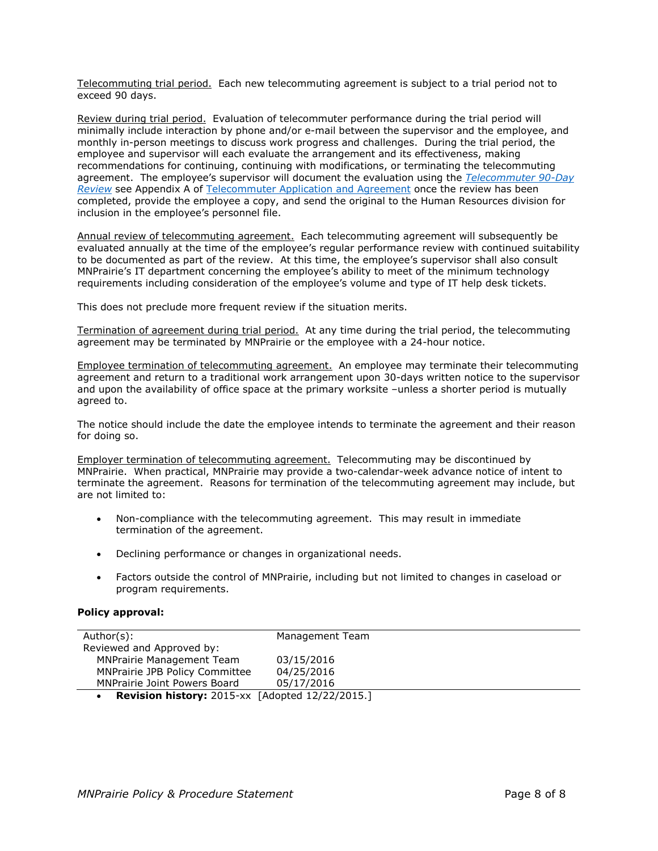Telecommuting trial period. Each new telecommuting agreement is subject to a trial period not to exceed 90 days.

Review during trial period. Evaluation of telecommuter performance during the trial period will minimally include interaction by phone and/or e-mail between the supervisor and the employee, and monthly in-person meetings to discuss work progress and challenges. During the trial period, the employee and supervisor will each evaluate the arrangement and its effectiveness, making recommendations for continuing, continuing with modifications, or terminating the telecommuting agreement. The employee's supervisor will document the evaluation using the *[Telecommuter 90-Day](http://sda.caseworksmn.org/sites/MNPrairie/MNPrairieForms/Employee%20Forms%2015001600/MNP%201590%20Telecommuting%20application%20and%20agreement%20with%20appendices.docx?web=1)*  **[Review](http://sda.caseworksmn.org/sites/MNPrairie/MNPrairieForms/Employee%20Forms%2015001600/MNP%201590%20Telecommuting%20application%20and%20agreement%20with%20appendices.docx?web=1)** see Appendix A of [Telecommuter Application and Agreement](http://sda.caseworksmn.org/sites/MNPrairie/MNPrairieForms/Employee%20Forms%2015001600/MNP%201590%20Telecommuting%20application%20and%20agreement%20with%20appendices.docx) once the review has been completed, provide the employee a copy, and send the original to the Human Resources division for inclusion in the employee's personnel file.

Annual review of telecommuting agreement. Each telecommuting agreement will subsequently be evaluated annually at the time of the employee's regular performance review with continued suitability to be documented as part of the review. At this time, the employee's supervisor shall also consult MNPrairie's IT department concerning the employee's ability to meet of the minimum technology requirements including consideration of the employee's volume and type of IT help desk tickets.

This does not preclude more frequent review if the situation merits.

Termination of agreement during trial period. At any time during the trial period, the telecommuting agreement may be terminated by MNPrairie or the employee with a 24-hour notice.

Employee termination of telecommuting agreement.An employee may terminate their telecommuting agreement and return to a traditional work arrangement upon 30-days written notice to the supervisor and upon the availability of office space at the primary worksite –unless a shorter period is mutually agreed to.

The notice should include the date the employee intends to terminate the agreement and their reason for doing so.

Employer termination of telecommuting agreement.Telecommuting may be discontinued by MNPrairie. When practical, MNPrairie may provide a two-calendar-week advance notice of intent to terminate the agreement. Reasons for termination of the telecommuting agreement may include, but are not limited to:

- Non-compliance with the telecommuting agreement. This may result in immediate termination of the agreement.
- Declining performance or changes in organizational needs.
- Factors outside the control of MNPrairie, including but not limited to changes in caseload or program requirements.

#### **Policy approval:**

| Author(s):                                            | Management Team |  |
|-------------------------------------------------------|-----------------|--|
| Reviewed and Approved by:                             |                 |  |
| <b>MNPrairie Management Team</b>                      | 03/15/2016      |  |
| <b>MNPrairie JPB Policy Committee</b>                 | 04/25/2016      |  |
| MNPrairie Joint Powers Board                          | 05/17/2016      |  |
| <b>Devision bistory:</b> 2015-yy [Adopted 12/22/2015] |                 |  |

• **Revision history:** 2015-xx [Adopted 12/22/2015.]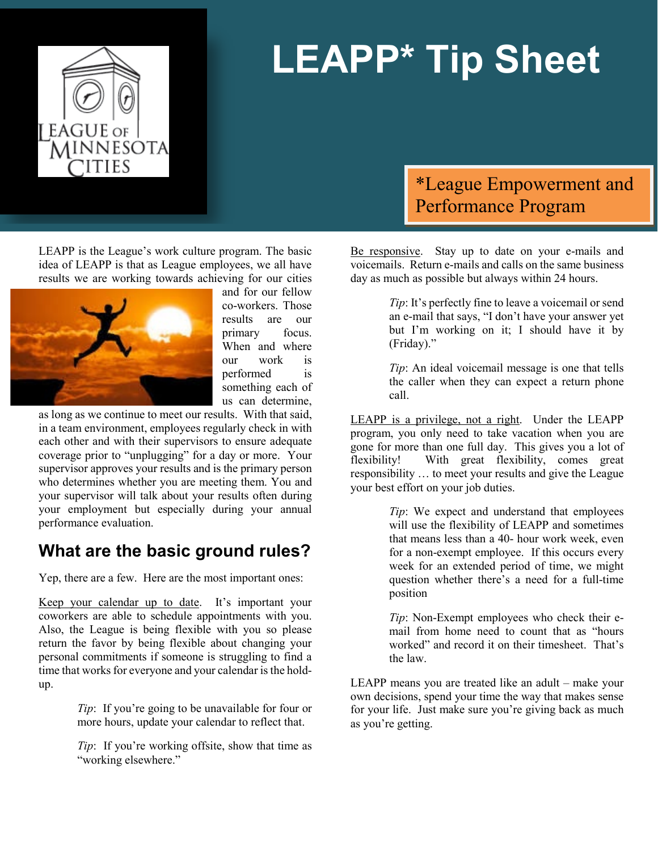

# **LEAPP\* Tip Sheet**

LEAPP is the League's work culture program. The basic idea of LEAPP is that as League employees, we all have results we are working towards achieving for our cities



and for our fellow co-workers. Those results are our primary focus. When and where our work is performed is something each of us can determine,

as long as we continue to meet our results. With that said, in a team environment, employees regularly check in with each other and with their supervisors to ensure adequate coverage prior to "unplugging" for a day or more. Your supervisor approves your results and is the primary person who determines whether you are meeting them. You and your supervisor will talk about your results often during your employment but especially during your annual performance evaluation.

### **What are the basic ground rules?**

Yep, there are a few. Here are the most important ones:

Keep your calendar up to date. It's important your coworkers are able to schedule appointments with you. Also, the League is being flexible with you so please return the favor by being flexible about changing your personal commitments if someone is struggling to find a time that works for everyone and your calendar is the holdup.

> *Tip*: If you're going to be unavailable for four or more hours, update your calendar to reflect that.

> *Tip*: If you're working offsite, show that time as "working elsewhere."

## \*League Empowerment and Performance Program

Be responsive. Stay up to date on your e-mails and voicemails. Return e-mails and calls on the same business day as much as possible but always within 24 hours.

> *Tip*: It's perfectly fine to leave a voicemail or send an e-mail that says, "I don't have your answer yet but I'm working on it; I should have it by (Friday)."

> *Tip*: An ideal voicemail message is one that tells the caller when they can expect a return phone call.

LEAPP is a privilege, not a right. Under the LEAPP program, you only need to take vacation when you are gone for more than one full day. This gives you a lot of flexibility! With great flexibility, comes great responsibility … to meet your results and give the League your best effort on your job duties.

> *Tip*: We expect and understand that employees will use the flexibility of LEAPP and sometimes that means less than a 40- hour work week, even for a non-exempt employee. If this occurs every week for an extended period of time, we might question whether there's a need for a full-time position

> *Tip*: Non-Exempt employees who check their email from home need to count that as "hours worked" and record it on their timesheet. That's the law.

LEAPP means you are treated like an adult – make your own decisions, spend your time the way that makes sense for your life. Just make sure you're giving back as much as you're getting.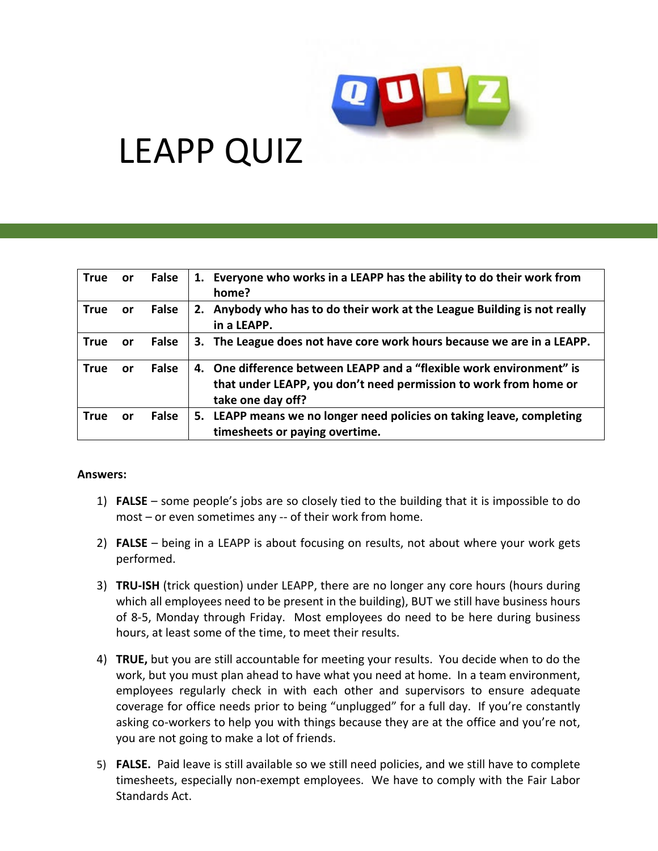

## LEAPP QUIZ

| <b>True</b> | <b>or</b> | False | 1. Everyone who works in a LEAPP has the ability to do their work from<br>home?                                                                               |
|-------------|-----------|-------|---------------------------------------------------------------------------------------------------------------------------------------------------------------|
| <b>True</b> | <b>or</b> | False | 2. Anybody who has to do their work at the League Building is not really<br>in a LEAPP.                                                                       |
| <b>True</b> | <b>or</b> | False | 3. The League does not have core work hours because we are in a LEAPP.                                                                                        |
| <b>True</b> | or        | False | 4. One difference between LEAPP and a "flexible work environment" is<br>that under LEAPP, you don't need permission to work from home or<br>take one day off? |
| <b>True</b> | or        | False | 5. LEAPP means we no longer need policies on taking leave, completing<br>timesheets or paying overtime.                                                       |

#### **Answers:**

- 1) **FALSE** some people's jobs are so closely tied to the building that it is impossible to do most – or even sometimes any -- of their work from home.
- 2) **FALSE** being in a LEAPP is about focusing on results, not about where your work gets performed.
- 3) **TRU-ISH** (trick question) under LEAPP, there are no longer any core hours (hours during which all employees need to be present in the building), BUT we still have business hours of 8-5, Monday through Friday. Most employees do need to be here during business hours, at least some of the time, to meet their results.
- 4) **TRUE,** but you are still accountable for meeting your results. You decide when to do the work, but you must plan ahead to have what you need at home. In a team environment, employees regularly check in with each other and supervisors to ensure adequate coverage for office needs prior to being "unplugged" for a full day. If you're constantly asking co-workers to help you with things because they are at the office and you're not, you are not going to make a lot of friends.
- 5) **FALSE.** Paid leave is still available so we still need policies, and we still have to complete timesheets, especially non-exempt employees. We have to comply with the Fair Labor Standards Act.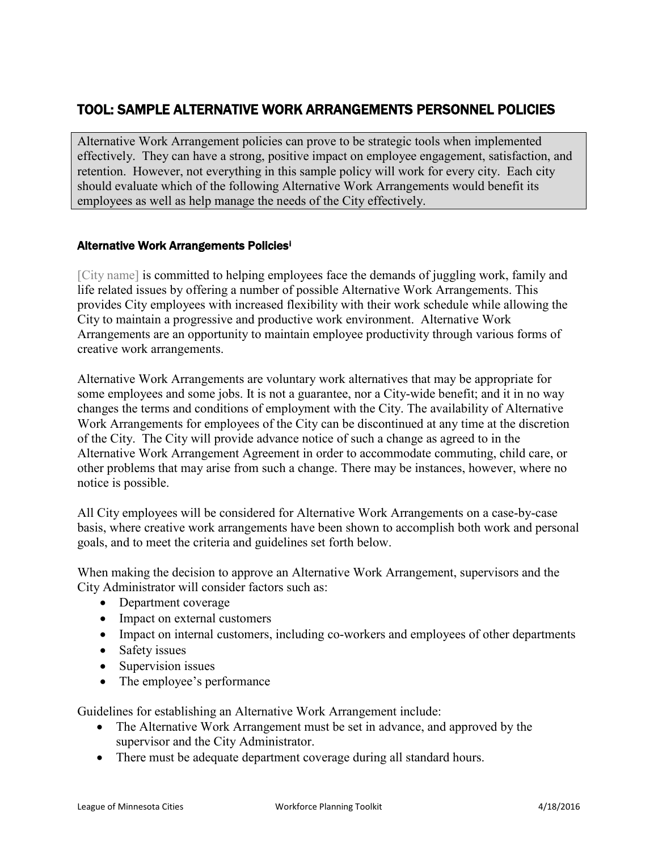#### TOOL: SAMPLE ALTERNATIVE WORK ARRANGEMENTS PERSONNEL POLICIES

Alternative Work Arrangement policies can prove to be strategic tools when implemented effectively. They can have a strong, positive impact on employee engagement, satisfaction, and retention. However, not everything in this sample policy will work for every city. Each city should evaluate which of the following Alternative Work Arrangements would benefit its employees as well as help manage the needs of the City effectively.

#### Alternative Work Arrangements Policies[i](#page-12-0)

[City name] is committed to helping employees face the demands of juggling work, family and life related issues by offering a number of possible Alternative Work Arrangements. This provides City employees with increased flexibility with their work schedule while allowing the City to maintain a progressive and productive work environment. Alternative Work Arrangements are an opportunity to maintain employee productivity through various forms of creative work arrangements.

Alternative Work Arrangements are voluntary work alternatives that may be appropriate for some employees and some jobs. It is not a guarantee, nor a City-wide benefit; and it in no way changes the terms and conditions of employment with the City. The availability of Alternative Work Arrangements for employees of the City can be discontinued at any time at the discretion of the City. The City will provide advance notice of such a change as agreed to in the Alternative Work Arrangement Agreement in order to accommodate commuting, child care, or other problems that may arise from such a change. There may be instances, however, where no notice is possible.

All City employees will be considered for Alternative Work Arrangements on a case-by-case basis, where creative work arrangements have been shown to accomplish both work and personal goals, and to meet the criteria and guidelines set forth below.

When making the decision to approve an Alternative Work Arrangement, supervisors and the City Administrator will consider factors such as:

- Department coverage
- Impact on external customers
- Impact on internal customers, including co-workers and employees of other departments
- Safety issues
- Supervision issues
- The employee's performance

Guidelines for establishing an Alternative Work Arrangement include:

- The Alternative Work Arrangement must be set in advance, and approved by the supervisor and the City Administrator.
- There must be adequate department coverage during all standard hours.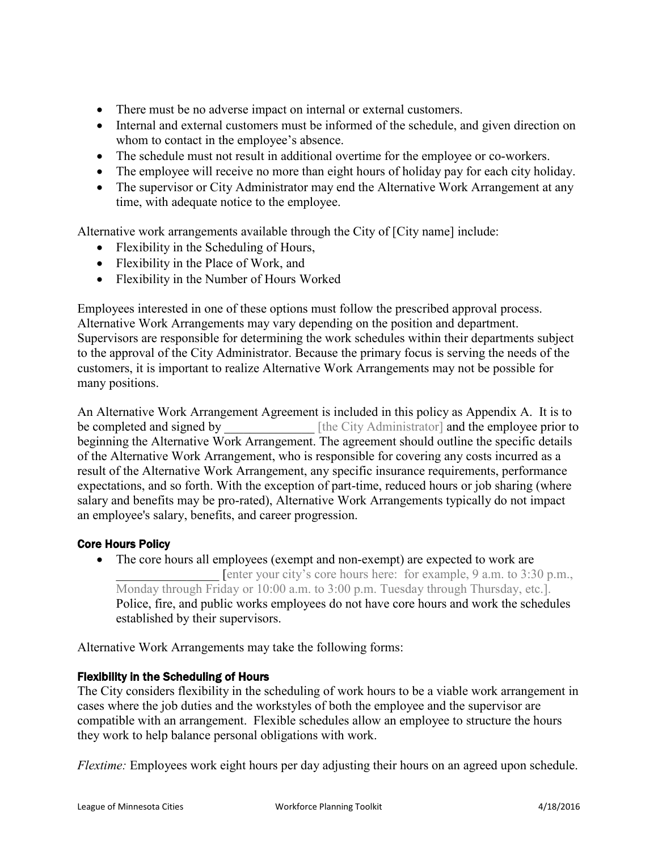- There must be no adverse impact on internal or external customers.
- Internal and external customers must be informed of the schedule, and given direction on whom to contact in the employee's absence.
- The schedule must not result in additional overtime for the employee or co-workers.
- The employee will receive no more than eight hours of holiday pay for each city holiday.
- The supervisor or City Administrator may end the Alternative Work Arrangement at any time, with adequate notice to the employee.

Alternative work arrangements available through the City of [City name] include:

- Flexibility in the Scheduling of Hours,
- Flexibility in the Place of Work, and
- Flexibility in the Number of Hours Worked

Employees interested in one of these options must follow the prescribed approval process. Alternative Work Arrangements may vary depending on the position and department. Supervisors are responsible for determining the work schedules within their departments subject to the approval of the City Administrator. Because the primary focus is serving the needs of the customers, it is important to realize Alternative Work Arrangements may not be possible for many positions.

An Alternative Work Arrangement Agreement is included in this policy as Appendix A. It is to be completed and signed by  $[$ the City Administrator and the employee prior to beginning the Alternative Work Arrangement. The agreement should outline the specific details of the Alternative Work Arrangement, who is responsible for covering any costs incurred as a result of the Alternative Work Arrangement, any specific insurance requirements, performance expectations, and so forth. With the exception of part-time, reduced hours or job sharing (where salary and benefits may be pro-rated), Alternative Work Arrangements typically do not impact an employee's salary, benefits, and career progression.

#### Core Hours Policy

• The core hours all employees (exempt and non-exempt) are expected to work are [enter your city's core hours here: for example, 9 a.m. to 3:30 p.m., Monday through Friday or 10:00 a.m. to 3:00 p.m. Tuesday through Thursday, etc.]. Police, fire, and public works employees do not have core hours and work the schedules established by their supervisors.

Alternative Work Arrangements may take the following forms:

#### Flexibility in the Scheduling of Hours

The City considers flexibility in the scheduling of work hours to be a viable work arrangement in cases where the job duties and the workstyles of both the employee and the supervisor are compatible with an arrangement. Flexible schedules allow an employee to structure the hours they work to help balance personal obligations with work.

*Flextime:* Employees work eight hours per day adjusting their hours on an agreed upon schedule.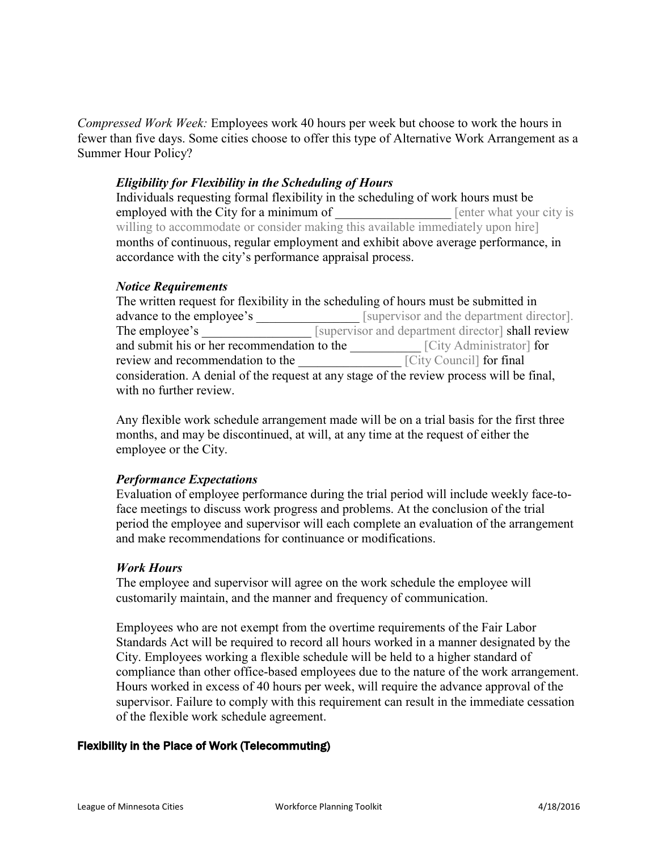*Compressed Work Week:* Employees work 40 hours per week but choose to work the hours in fewer than five days. Some cities choose to offer this type of Alternative Work Arrangement as a Summer Hour Policy?

#### *Eligibility for Flexibility in the Scheduling of Hours*

Individuals requesting formal flexibility in the scheduling of work hours must be employed with the City for a minimum of **Example 2** [enter what your city is willing to accommodate or consider making this available immediately upon hire] months of continuous, regular employment and exhibit above average performance, in accordance with the city's performance appraisal process.

#### *Notice Requirements*

| The written request for flexibility in the scheduling of hours must be submitted in      |                                                   |  |  |  |
|------------------------------------------------------------------------------------------|---------------------------------------------------|--|--|--|
| advance to the employee's                                                                | [supervisor and the department director].         |  |  |  |
| The employee's                                                                           | [supervisor and department director] shall review |  |  |  |
| and submit his or her recommendation to the                                              | [City Administrator] for                          |  |  |  |
| review and recommendation to the                                                         | [City Council] for final                          |  |  |  |
| consideration. A denial of the request at any stage of the review process will be final, |                                                   |  |  |  |
| with no further review.                                                                  |                                                   |  |  |  |

Any flexible work schedule arrangement made will be on a trial basis for the first three months, and may be discontinued, at will, at any time at the request of either the employee or the City.

#### *Performance Expectations*

Evaluation of employee performance during the trial period will include weekly face-toface meetings to discuss work progress and problems. At the conclusion of the trial period the employee and supervisor will each complete an evaluation of the arrangement and make recommendations for continuance or modifications.

#### *Work Hours*

The employee and supervisor will agree on the work schedule the employee will customarily maintain, and the manner and frequency of communication.

<span id="page-12-0"></span>Employees who are not exempt from the overtime requirements of the Fair Labor Standards Act will be required to record all hours worked in a manner designated by the City. Employees working a flexible schedule will be held to a higher standard of compliance than other office-based employees due to the nature of the work arrangement. Hours worked in excess of 40 hours per week, will require the advance approval of the supervisor. Failure to comply with this requirement can result in the immediate cessation of the flexible work schedule agreement.

#### <span id="page-12-1"></span>Flexibility in the Place of Work (Telecommuting)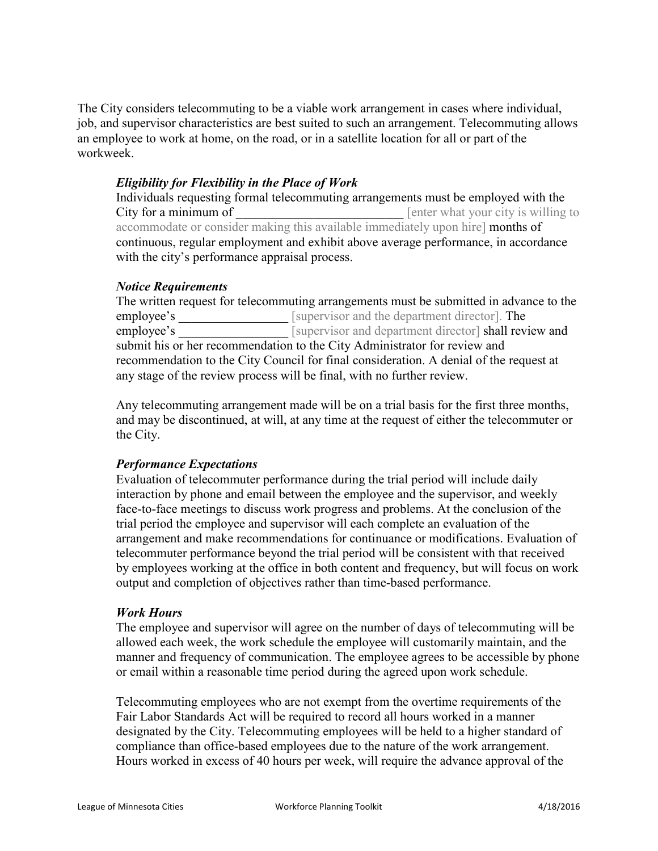The City considers telecommuting to be a viable work arrangement in cases where individual, job, and supervisor characteristics are best suited to such an arrangement. Telecommuting allows an employee to work at home, on the road, or in a satellite location for all or part of the workweek.

#### *Eligibility for Flexibility in the Place of Work*

Individuals requesting formal telecommuting arrangements must be employed with the City for a minimum of **Example 2** [enter what your city is willing to accommodate or consider making this available immediately upon hire] months of continuous, regular employment and exhibit above average performance, in accordance with the city's performance appraisal process.

#### *Notice Requirements*

The written request for telecommuting arrangements must be submitted in advance to the employee's \_\_\_\_\_\_\_\_\_\_\_\_\_\_\_\_\_ [supervisor and the department director]. The employee's [supervisor and department director] shall review and submit his or her recommendation to the City Administrator for review and recommendation to the City Council for final consideration. A denial of the request at any stage of the review process will be final, with no further review.

Any telecommuting arrangement made will be on a trial basis for the first three months, and may be discontinued, at will, at any time at the request of either the telecommuter or the City.

#### *Performance Expectations*

Evaluation of telecommuter performance during the trial period will include daily interaction by phone and email between the employee and the supervisor, and weekly face-to-face meetings to discuss work progress and problems. At the conclusion of the trial period the employee and supervisor will each complete an evaluation of the arrangement and make recommendations for continuance or modifications. Evaluation of telecommuter performance beyond the trial period will be consistent with that received by employees working at the office in both content and frequency, but will focus on work output and completion of objectives rather than time-based performance.

#### *Work Hours*

The employee and supervisor will agree on the number of days of telecommuting will be allowed each week, the work schedule the employee will customarily maintain, and the manner and frequency of communication. The employee agrees to be accessible by phone or email within a reasonable time period during the agreed upon work schedule.

Telecommuting employees who are not exempt from the overtime requirements of the Fair Labor Standards Act will be required to record all hours worked in a manner designated by the City. Telecommuting employees will be held to a higher standard of compliance than office-based employees due to the nature of the work arrangement. Hours worked in excess of 40 hours per week, will require the advance approval of the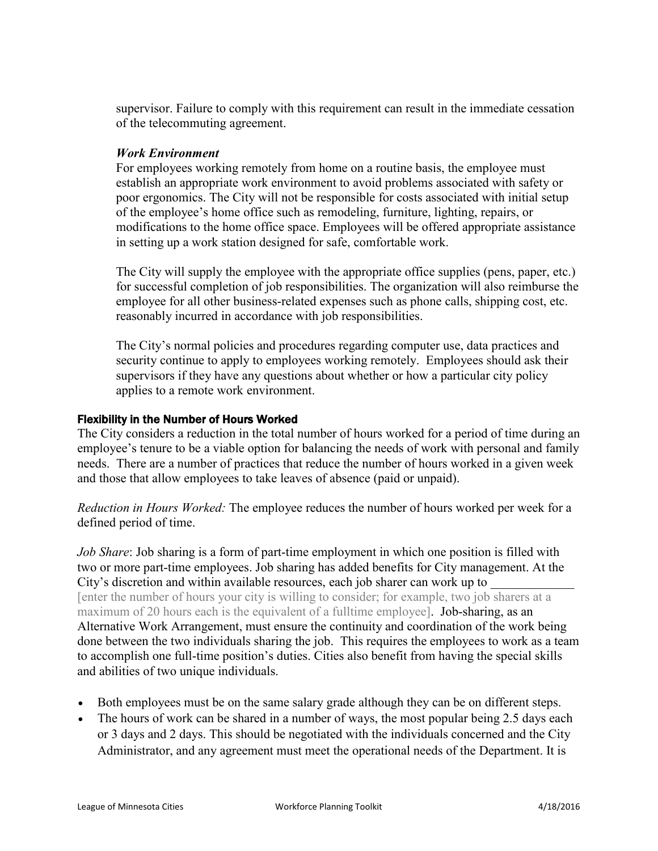supervisor. Failure to comply with this requirement can result in the immediate cessation of the telecommuting agreement.

#### *Work Environment*

For employees working remotely from home on a routine basis, the employee must establish an appropriate work environment to avoid problems associated with safety or poor ergonomics. The City will not be responsible for costs associated with initial setup of the employee's home office such as remodeling, furniture, lighting, repairs, or modifications to the home office space. Employees will be offered appropriate assistance in setting up a work station designed for safe, comfortable work.

The City will supply the employee with the appropriate office supplies (pens, paper, etc.) for successful completion of job responsibilities. The organization will also reimburse the employee for all other business-related expenses such as phone calls, shipping cost, etc. reasonably incurred in accordance with job responsibilities.

The City's normal policies and procedures regarding computer use, data practices and security continue to apply to employees working remotely. Employees should ask their supervisors if they have any questions about whether or how a particular city policy applies to a remote work environment.

#### Flexibility in the Number of Hours Worked

The City considers a reduction in the total number of hours worked for a period of time during an employee's tenure to be a viable option for balancing the needs of work with personal and family needs. There are a number of practices that reduce the number of hours worked in a given week and those that allow employees to take leaves of absence (paid or unpaid).

*Reduction in Hours Worked:* The employee reduces the number of hours worked per week for a defined period of time.

*Job Share*: Job sharing is a form of part-time employment in which one position is filled with two or more part-time employees. Job sharing has added benefits for City management. At the City's discretion and within available resources, each job sharer can work up to [enter the number of hours your city is willing to consider; for example, two job sharers at a maximum of 20 hours each is the equivalent of a fulltime employee]. Job-sharing, as an Alternative Work Arrangement, must ensure the continuity and coordination of the work being done between the two individuals sharing the job. This requires the employees to work as a team to accomplish one full-time position's duties. Cities also benefit from having the special skills and abilities of two unique individuals.

- Both employees must be on the same salary grade although they can be on different steps.
- The hours of work can be shared in a number of ways, the most popular being 2.5 days each or 3 days and 2 days. This should be negotiated with the individuals concerned and the City Administrator, and any agreement must meet the operational needs of the Department. It is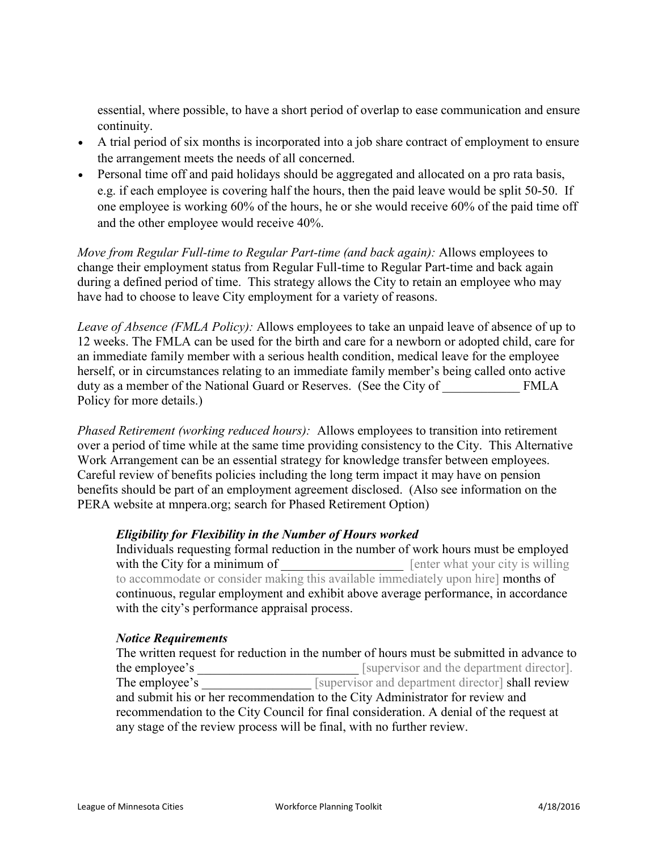essential, where possible, to have a short period of overlap to ease communication and ensure continuity.

- A trial period of six months is incorporated into a job share contract of employment to ensure the arrangement meets the needs of all concerned.
- Personal time off and paid holidays should be aggregated and allocated on a pro rata basis, e.g. if each employee is covering half the hours, then the paid leave would be split 50-50. If one employee is working 60% of the hours, he or she would receive 60% of the paid time off and the other employee would receive 40%.

*Move from Regular Full-time to Regular Part-time (and back again):* Allows employees to change their employment status from Regular Full-time to Regular Part-time and back again during a defined period of time. This strategy allows the City to retain an employee who may have had to choose to leave City employment for a variety of reasons.

*Leave of Absence (FMLA Policy):* Allows employees to take an unpaid leave of absence of up to 12 weeks. The FMLA can be used for the birth and care for a newborn or adopted child, care for an immediate family member with a serious health condition, medical leave for the employee herself, or in circumstances relating to an immediate family member's being called onto active duty as a member of the National Guard or Reserves. (See the City of FMLA Policy for more details.)

*Phased Retirement (working reduced hours):* Allows employees to transition into retirement over a period of time while at the same time providing consistency to the City. This Alternative Work Arrangement can be an essential strategy for knowledge transfer between employees. Careful review of benefits policies including the long term impact it may have on pension benefits should be part of an employment agreement disclosed. (Also see information on the PERA website at mnpera.org; search for Phased Retirement Option)

#### *Eligibility for Flexibility in the Number of Hours worked*

Individuals requesting formal reduction in the number of work hours must be employed with the City for a minimum of **with the City for a minimum of example 1** [enter what your city is willing to accommodate or consider making this available immediately upon hire] months of continuous, regular employment and exhibit above average performance, in accordance with the city's performance appraisal process.

#### *Notice Requirements*

The written request for reduction in the number of hours must be submitted in advance to the employee's **Example 1** [supervisor and the department director]. The employee's Supervisor and department director shall review and submit his or her recommendation to the City Administrator for review and recommendation to the City Council for final consideration. A denial of the request at any stage of the review process will be final, with no further review.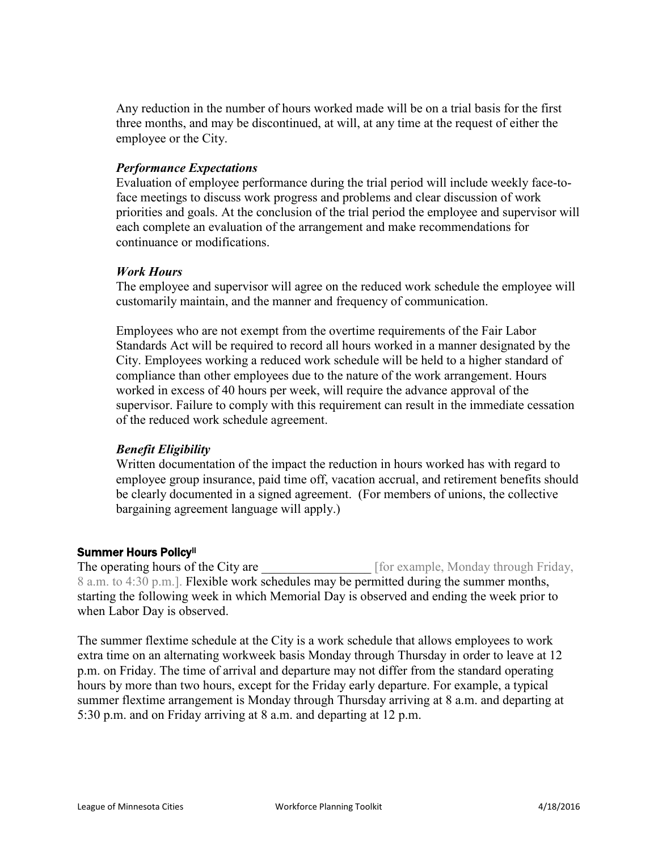Any reduction in the number of hours worked made will be on a trial basis for the first three months, and may be discontinued, at will, at any time at the request of either the employee or the City.

#### *Performance Expectations*

Evaluation of employee performance during the trial period will include weekly face-toface meetings to discuss work progress and problems and clear discussion of work priorities and goals. At the conclusion of the trial period the employee and supervisor will each complete an evaluation of the arrangement and make recommendations for continuance or modifications.

#### *Work Hours*

The employee and supervisor will agree on the reduced work schedule the employee will customarily maintain, and the manner and frequency of communication.

Employees who are not exempt from the overtime requirements of the Fair Labor Standards Act will be required to record all hours worked in a manner designated by the City. Employees working a reduced work schedule will be held to a higher standard of compliance than other employees due to the nature of the work arrangement. Hours worked in excess of 40 hours per week, will require the advance approval of the supervisor. Failure to comply with this requirement can result in the immediate cessation of the reduced work schedule agreement.

#### *Benefit Eligibility*

Written documentation of the impact the reduction in hours worked has with regard to employee group insurance, paid time off, vacation accrual, and retirement benefits should be clearly documented in a signed agreement. (For members of unions, the collective bargaining agreement language will apply.)

#### Summer Hours Policy[ii](#page-12-1)

The operating hours of the City are \_\_\_\_\_\_\_\_\_\_\_\_\_\_\_\_\_\_ [for example, Monday through Friday, 8 a.m. to 4:30 p.m.]. Flexible work schedules may be permitted during the summer months, starting the following week in which Memorial Day is observed and ending the week prior to when Labor Day is observed.

The summer flextime schedule at the City is a work schedule that allows employees to work extra time on an alternating workweek basis Monday through Thursday in order to leave at 12 p.m. on Friday. The time of arrival and departure may not differ from the standard operating hours by more than two hours, except for the Friday early departure. For example, a typical summer flextime arrangement is Monday through Thursday arriving at 8 a.m. and departing at 5:30 p.m. and on Friday arriving at 8 a.m. and departing at 12 p.m.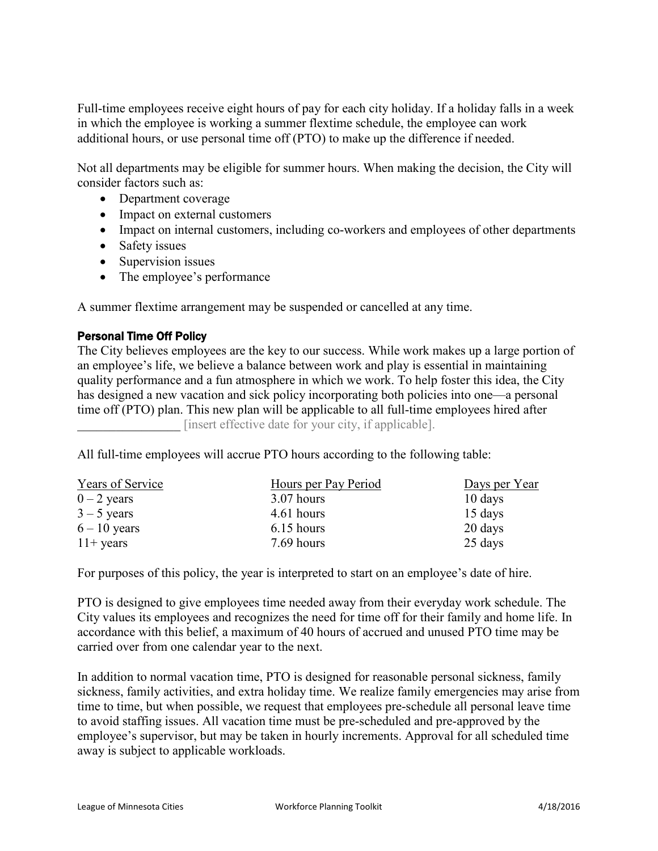Full-time employees receive eight hours of pay for each city holiday. If a holiday falls in a week in which the employee is working a summer flextime schedule, the employee can work additional hours, or use personal time off (PTO) to make up the difference if needed.

Not all departments may be eligible for summer hours. When making the decision, the City will consider factors such as:

- Department coverage
- Impact on external customers
- Impact on internal customers, including co-workers and employees of other departments
- Safety issues
- Supervision issues
- The employee's performance

A summer flextime arrangement may be suspended or cancelled at any time.

#### Personal Time Off Policy

The City believes employees are the key to our success. While work makes up a large portion of an employee's life, we believe a balance between work and play is essential in maintaining quality performance and a fun atmosphere in which we work. To help foster this idea, the City has designed a new vacation and sick policy incorporating both policies into one—a personal time off (PTO) plan. This new plan will be applicable to all full-time employees hired after \_\_\_\_\_\_\_\_\_\_\_\_\_\_\_\_ [insert effective date for your city, if applicable].

All full-time employees will accrue PTO hours according to the following table:

| Years of Service | Hours per Pay Period | Days per Year     |
|------------------|----------------------|-------------------|
| $0 - 2$ years    | $3.07$ hours         | $10 \text{ days}$ |
| $3 - 5$ years    | 4.61 hours           | 15 days           |
| $6 - 10$ years   | $6.15$ hours         | 20 days           |
| $11+$ years      | 7.69 hours           | 25 days           |

For purposes of this policy, the year is interpreted to start on an employee's date of hire.

PTO is designed to give employees time needed away from their everyday work schedule. The City values its employees and recognizes the need for time off for their family and home life. In accordance with this belief, a maximum of 40 hours of accrued and unused PTO time may be carried over from one calendar year to the next.

In addition to normal vacation time, PTO is designed for reasonable personal sickness, family sickness, family activities, and extra holiday time. We realize family emergencies may arise from time to time, but when possible, we request that employees pre-schedule all personal leave time to avoid staffing issues. All vacation time must be pre-scheduled and pre-approved by the employee's supervisor, but may be taken in hourly increments. Approval for all scheduled time away is subject to applicable workloads.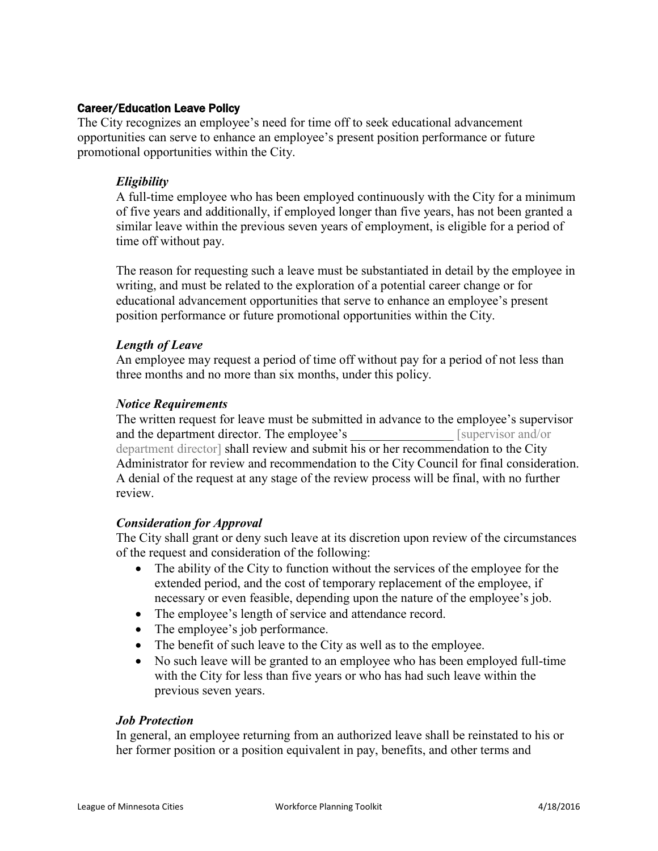#### Career/Education Leave Policy

The City recognizes an employee's need for time off to seek educational advancement opportunities can serve to enhance an employee's present position performance or future promotional opportunities within the City.

#### *Eligibility*

A full-time employee who has been employed continuously with the City for a minimum of five years and additionally, if employed longer than five years, has not been granted a similar leave within the previous seven years of employment, is eligible for a period of time off without pay.

The reason for requesting such a leave must be substantiated in detail by the employee in writing, and must be related to the exploration of a potential career change or for educational advancement opportunities that serve to enhance an employee's present position performance or future promotional opportunities within the City.

#### *Length of Leave*

An employee may request a period of time off without pay for a period of not less than three months and no more than six months, under this policy.

#### *Notice Requirements*

The written request for leave must be submitted in advance to the employee's supervisor and the department director. The employee's section is a supervisor and/or department director] shall review and submit his or her recommendation to the City Administrator for review and recommendation to the City Council for final consideration. A denial of the request at any stage of the review process will be final, with no further review.

#### *Consideration for Approval*

The City shall grant or deny such leave at its discretion upon review of the circumstances of the request and consideration of the following:

- The ability of the City to function without the services of the employee for the extended period, and the cost of temporary replacement of the employee, if necessary or even feasible, depending upon the nature of the employee's job.
- The employee's length of service and attendance record.
- The employee's job performance.
- The benefit of such leave to the City as well as to the employee.
- No such leave will be granted to an employee who has been employed full-time with the City for less than five years or who has had such leave within the previous seven years.

#### *Job Protection*

In general, an employee returning from an authorized leave shall be reinstated to his or her former position or a position equivalent in pay, benefits, and other terms and